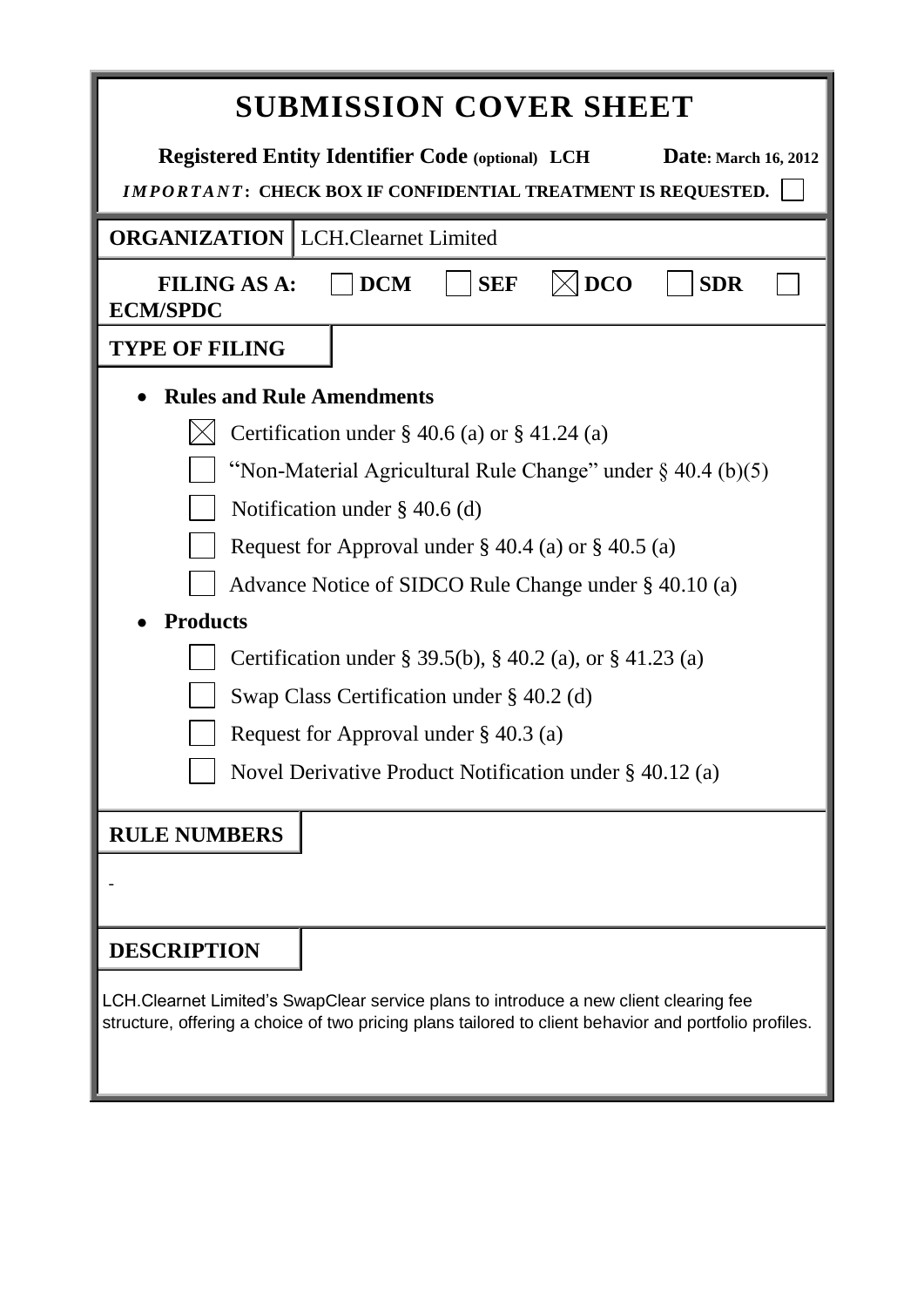| <b>SUBMISSION COVER SHEET</b>                                                                                                                                                                  |                                                      |  |  |
|------------------------------------------------------------------------------------------------------------------------------------------------------------------------------------------------|------------------------------------------------------|--|--|
| <b>Registered Entity Identifier Code (optional) LCH</b><br>Date: March 16, 2012<br>IMPORTANT: CHECK BOX IF CONFIDENTIAL TREATMENT IS REQUESTED.                                                |                                                      |  |  |
| <b>ORGANIZATION</b>   LCH.Clearnet Limited                                                                                                                                                     |                                                      |  |  |
| <b>FILING AS A:</b><br><b>ECM/SPDC</b>                                                                                                                                                         | <b>DCO</b><br><b>DCM</b><br><b>SEF</b><br><b>SDR</b> |  |  |
| <b>TYPE OF FILING</b>                                                                                                                                                                          |                                                      |  |  |
| <b>Rules and Rule Amendments</b>                                                                                                                                                               |                                                      |  |  |
| Certification under $\S$ 40.6 (a) or $\S$ 41.24 (a)                                                                                                                                            |                                                      |  |  |
| "Non-Material Agricultural Rule Change" under $\S$ 40.4 (b)(5)                                                                                                                                 |                                                      |  |  |
| Notification under $\S$ 40.6 (d)                                                                                                                                                               |                                                      |  |  |
| Request for Approval under $\S$ 40.4 (a) or $\S$ 40.5 (a)                                                                                                                                      |                                                      |  |  |
| Advance Notice of SIDCO Rule Change under § 40.10 (a)                                                                                                                                          |                                                      |  |  |
| <b>Products</b>                                                                                                                                                                                |                                                      |  |  |
| Certification under § 39.5(b), § 40.2 (a), or § 41.23 (a)                                                                                                                                      |                                                      |  |  |
| Swap Class Certification under $\S$ 40.2 (d)                                                                                                                                                   |                                                      |  |  |
| Request for Approval under $\S$ 40.3 (a)                                                                                                                                                       |                                                      |  |  |
| Novel Derivative Product Notification under § 40.12 (a)                                                                                                                                        |                                                      |  |  |
| <b>RULE NUMBERS</b>                                                                                                                                                                            |                                                      |  |  |
|                                                                                                                                                                                                |                                                      |  |  |
| <b>DESCRIPTION</b>                                                                                                                                                                             |                                                      |  |  |
| LCH.Clearnet Limited's SwapClear service plans to introduce a new client clearing fee<br>structure, offering a choice of two pricing plans tailored to client behavior and portfolio profiles. |                                                      |  |  |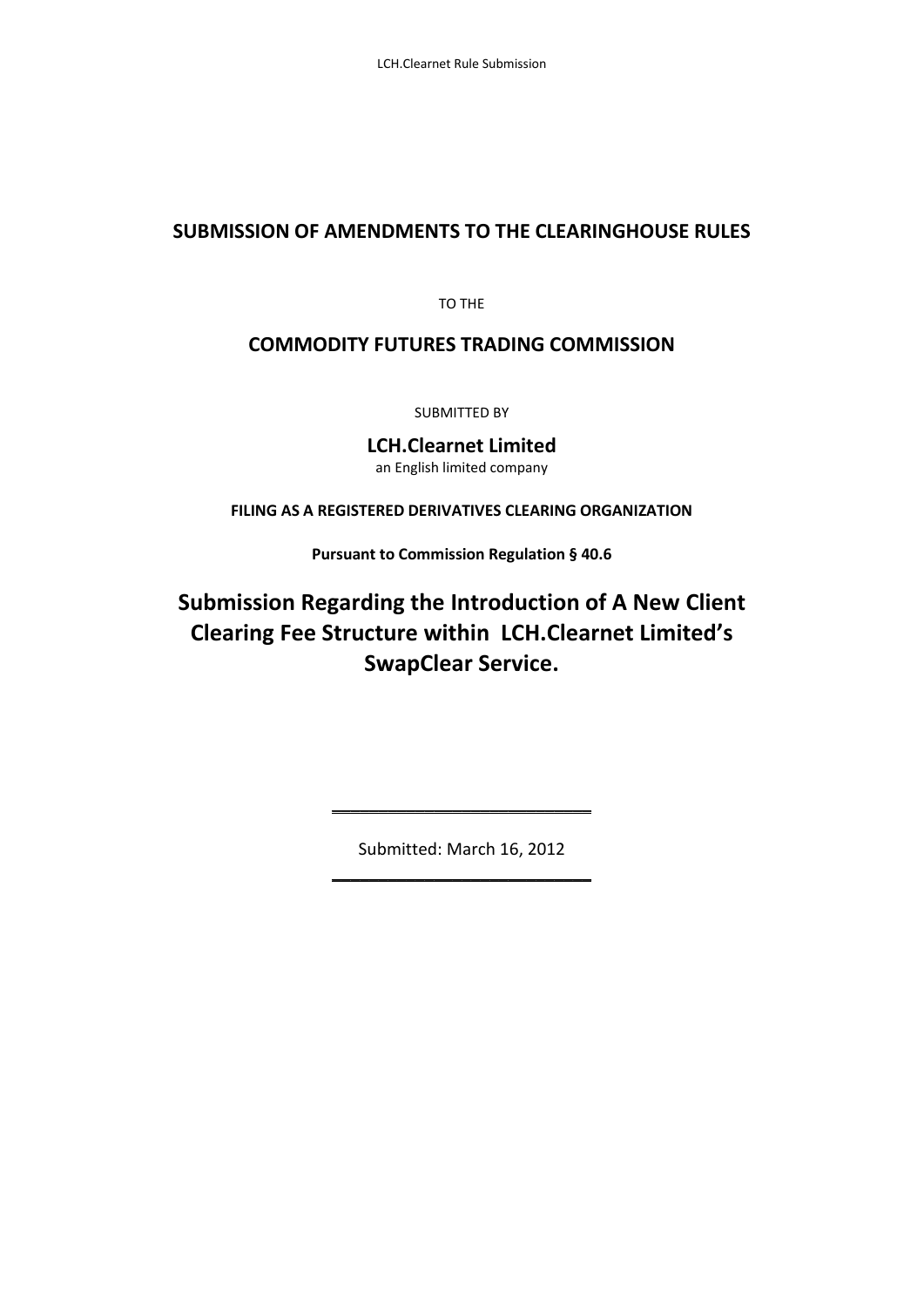# **SUBMISSION OF AMENDMENTS TO THE CLEARINGHOUSE RULES**

TO THE

## **COMMODITY FUTURES TRADING COMMISSION**

SUBMITTED BY

**LCH.Clearnet Limited** an English limited company

**FILING AS A REGISTERED DERIVATIVES CLEARING ORGANIZATION**

**Pursuant to Commission Regulation § 40.6**

# **Submission Regarding the Introduction of A New Client Clearing Fee Structure within LCH.Clearnet Limited's SwapClear Service.**

Submitted: March 16, 2012 \_\_\_\_\_\_\_\_\_\_\_\_\_\_\_\_\_\_\_\_\_\_\_\_\_\_\_\_

\_\_\_\_\_\_\_\_\_\_\_\_\_\_\_\_\_\_\_\_\_\_\_\_\_\_\_\_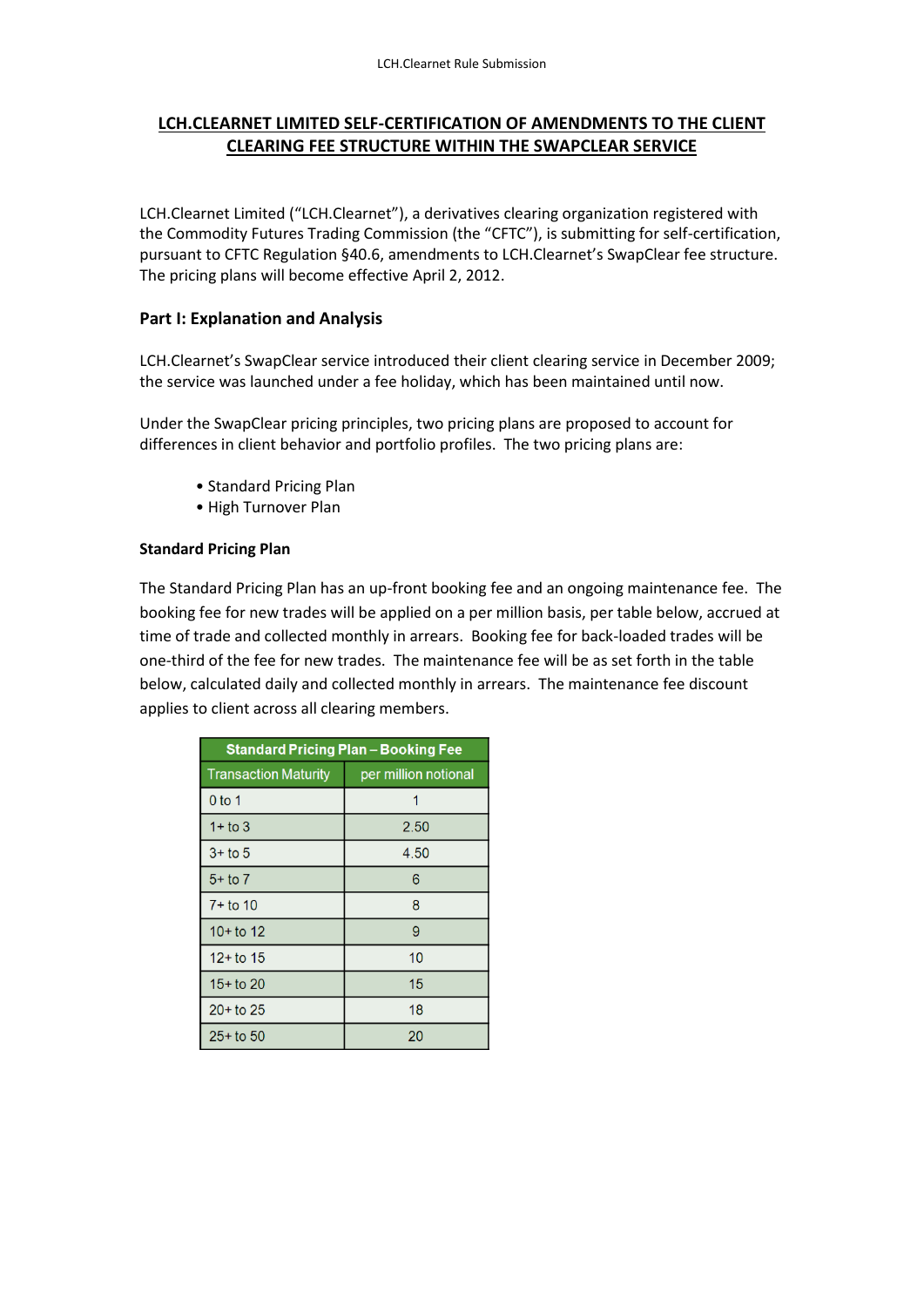## **LCH.CLEARNET LIMITED SELF-CERTIFICATION OF AMENDMENTS TO THE CLIENT CLEARING FEE STRUCTURE WITHIN THE SWAPCLEAR SERVICE**

LCH.Clearnet Limited ("LCH.Clearnet"), a derivatives clearing organization registered with the Commodity Futures Trading Commission (the "CFTC"), is submitting for self-certification, pursuant to CFTC Regulation §40.6, amendments to LCH.Clearnet's SwapClear fee structure. The pricing plans will become effective April 2, 2012.

#### **Part I: Explanation and Analysis**

LCH.Clearnet's SwapClear service introduced their client clearing service in December 2009; the service was launched under a fee holiday, which has been maintained until now.

Under the SwapClear pricing principles, two pricing plans are proposed to account for differences in client behavior and portfolio profiles. The two pricing plans are:

- Standard Pricing Plan
- High Turnover Plan

#### **Standard Pricing Plan**

The Standard Pricing Plan has an up-front booking fee and an ongoing maintenance fee. The booking fee for new trades will be applied on a per million basis, per table below, accrued at time of trade and collected monthly in arrears. Booking fee for back-loaded trades will be one-third of the fee for new trades. The maintenance fee will be as set forth in the table below, calculated daily and collected monthly in arrears. The maintenance fee discount applies to client across all clearing members.

| <b>Standard Pricing Plan – Booking Fee</b> |                      |  |  |
|--------------------------------------------|----------------------|--|--|
| <b>Transaction Maturity</b>                | per million notional |  |  |
| 0 to 1                                     | 1                    |  |  |
| $1+$ to 3                                  | 2.50                 |  |  |
| $3+$ to 5                                  | 4.50                 |  |  |
| $5 +$ to 7                                 | 6                    |  |  |
| $7 +$ to 10                                | 8                    |  |  |
| $10+$ to 12                                | 9                    |  |  |
| $12 +$ to 15                               | 10                   |  |  |
| $15 +$ to 20                               | 15                   |  |  |
| $20+$ to 25                                | 18                   |  |  |
| $25 +$ to 50                               | 20                   |  |  |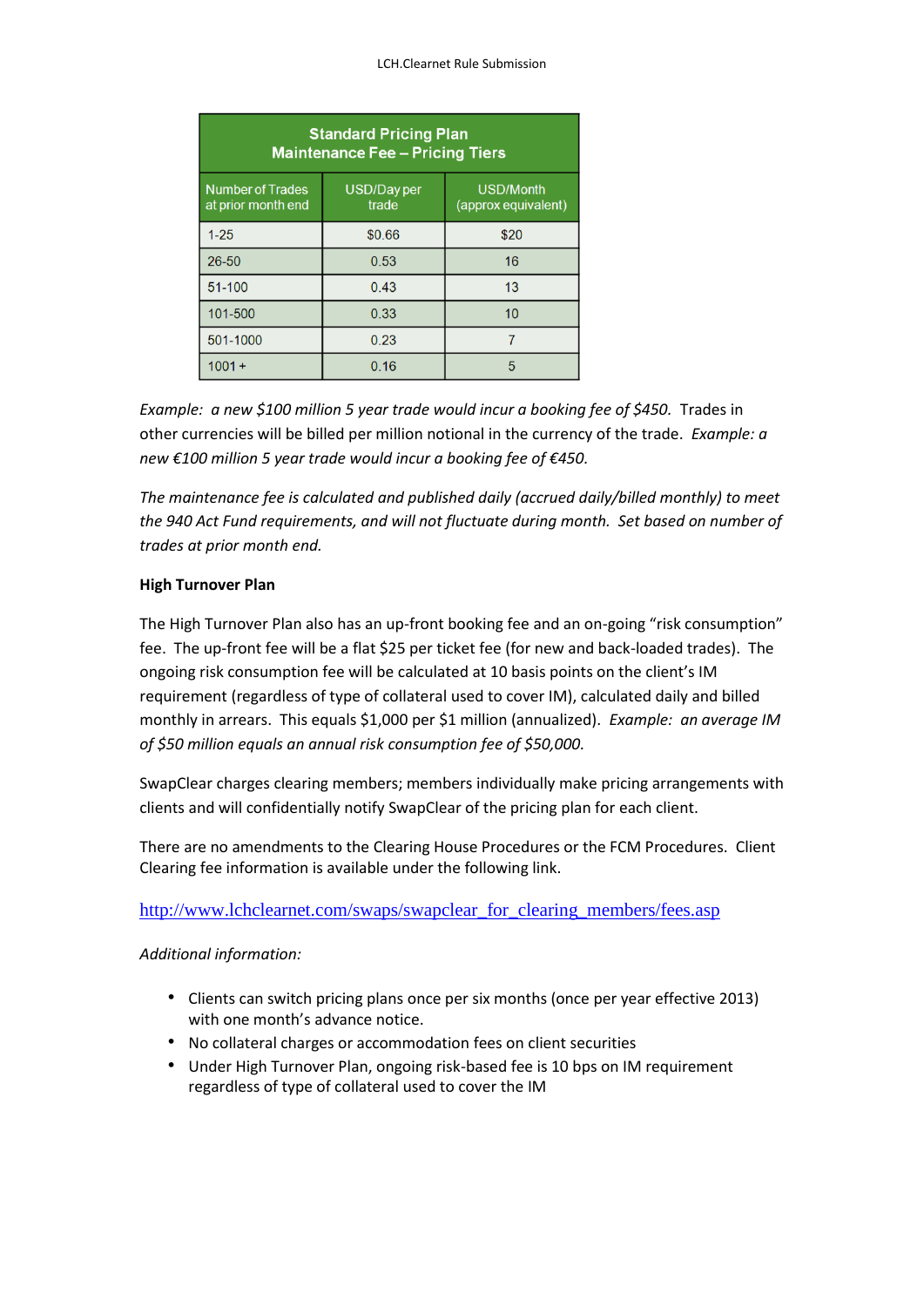| <b>Standard Pricing Plan</b><br><b>Maintenance Fee - Pricing Tiers</b> |                      |                                         |  |
|------------------------------------------------------------------------|----------------------|-----------------------------------------|--|
| <b>Number of Trades</b><br>at prior month end                          | USD/Day per<br>trade | <b>USD/Month</b><br>(approx equivalent) |  |
| $1 - 25$                                                               | \$0.66               | \$20                                    |  |
| 26-50                                                                  | 0.53                 | 16                                      |  |
| 51-100                                                                 | 0.43                 | 13                                      |  |
| 101-500                                                                | 0.33                 | 10                                      |  |
| 501-1000                                                               | 0.23                 |                                         |  |
| $1001 +$                                                               | 0.16                 | 5                                       |  |

*Example: a new \$100 million 5 year trade would incur a booking fee of \$450.* Trades in other currencies will be billed per million notional in the currency of the trade. *Example: a new €100 million 5 year trade would incur a booking fee of €450.*

*The maintenance fee is calculated and published daily (accrued daily/billed monthly) to meet the 940 Act Fund requirements, and will not fluctuate during month. Set based on number of trades at prior month end.*

#### **High Turnover Plan**

The High Turnover Plan also has an up-front booking fee and an on-going "risk consumption" fee. The up-front fee will be a flat \$25 per ticket fee (for new and back-loaded trades). The ongoing risk consumption fee will be calculated at 10 basis points on the client's IM requirement (regardless of type of collateral used to cover IM), calculated daily and billed monthly in arrears. This equals \$1,000 per \$1 million (annualized). *Example: an average IM of \$50 million equals an annual risk consumption fee of \$50,000.*

SwapClear charges clearing members; members individually make pricing arrangements with clients and will confidentially notify SwapClear of the pricing plan for each client.

There are no amendments to the Clearing House Procedures or the FCM Procedures. Client Clearing fee information is available under the following link.

#### [http://www.lchclearnet.com/swaps/swapclear\\_for\\_clearing\\_members/fees.asp](http://www.lchclearnet.com/swaps/swapclear_for_clearing_members/fees.asp)

#### *Additional information:*

- Clients can switch pricing plans once per six months (once per year effective 2013) with one month's advance notice.
- No collateral charges or accommodation fees on client securities
- Under High Turnover Plan, ongoing risk-based fee is 10 bps on IM requirement regardless of type of collateral used to cover the IM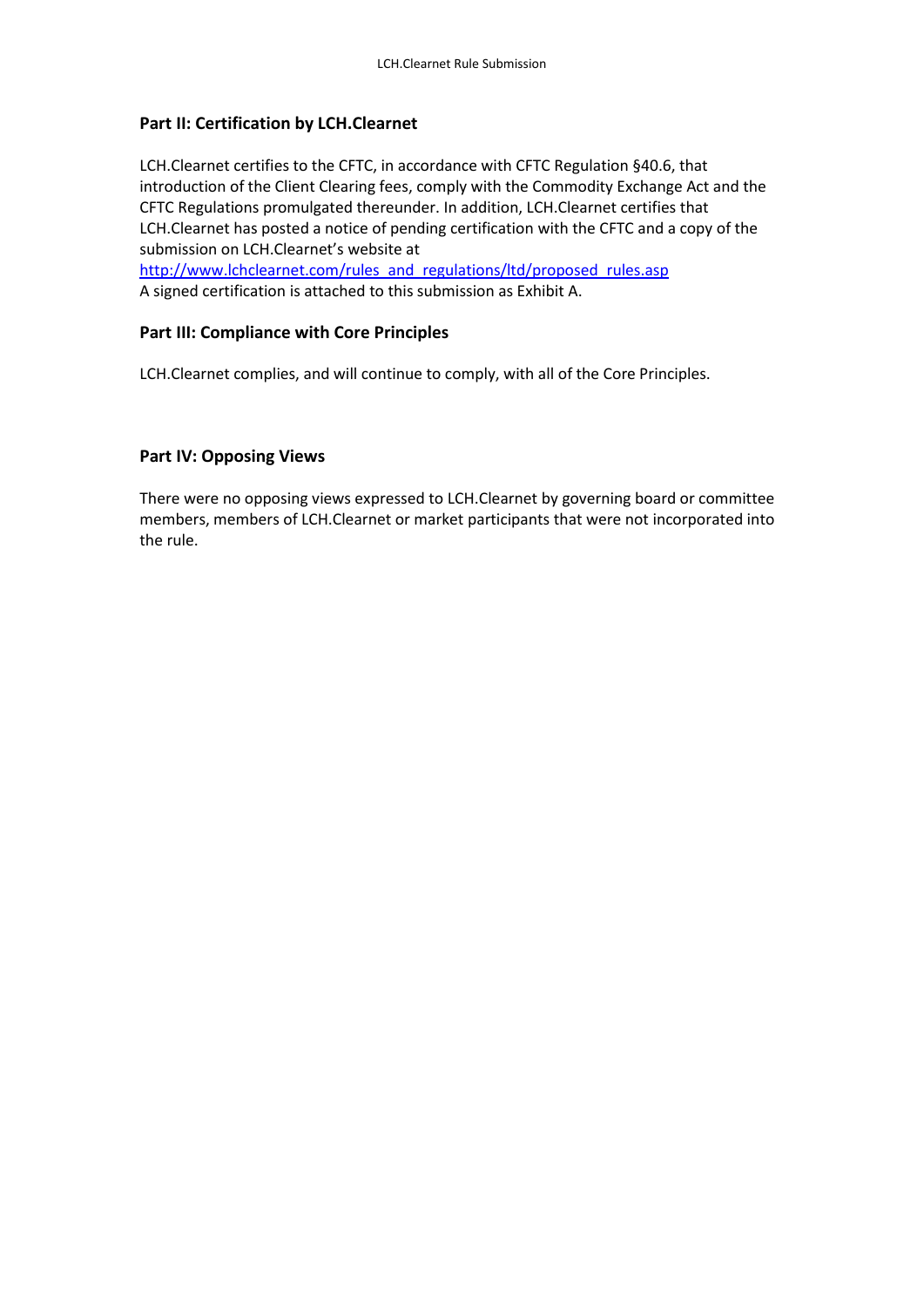### **Part II: Certification by LCH.Clearnet**

LCH.Clearnet certifies to the CFTC, in accordance with CFTC Regulation §40.6, that introduction of the Client Clearing fees, comply with the Commodity Exchange Act and the CFTC Regulations promulgated thereunder. In addition, LCH.Clearnet certifies that LCH.Clearnet has posted a notice of pending certification with the CFTC and a copy of the submission on LCH.Clearnet's website at [http://www.lchclearnet.com/rules\\_and\\_regulations/ltd/proposed\\_rules.asp](http://www.lchclearnet.com/rules_and_regulations/ltd/proposed_rules.asp) A signed certification is attached to this submission as Exhibit A.

#### **Part III: Compliance with Core Principles**

LCH.Clearnet complies, and will continue to comply, with all of the Core Principles.

#### **Part IV: Opposing Views**

There were no opposing views expressed to LCH.Clearnet by governing board or committee members, members of LCH.Clearnet or market participants that were not incorporated into the rule.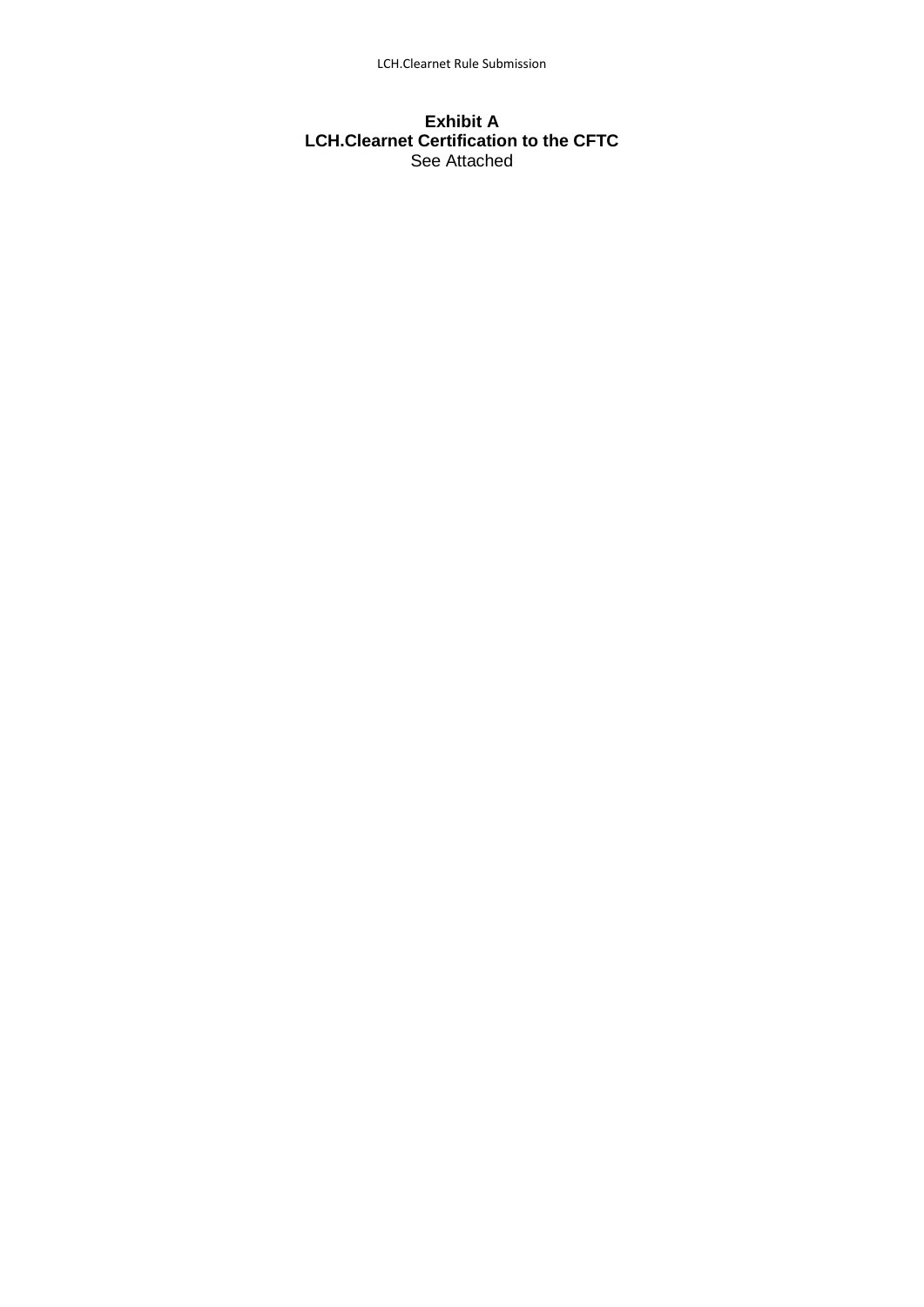#### **Exhibit A LCH.Clearnet Certification to the CFTC** See Attached